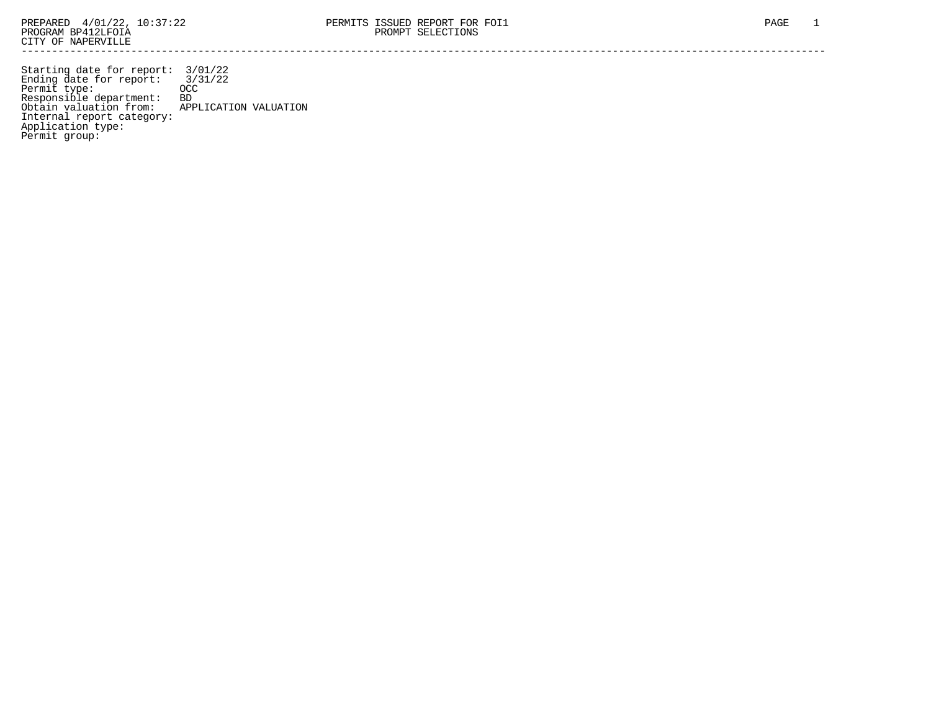Starting date for report: 3/01/22 Ending date for report: 3/31/22 Permit type: OCC Responsible department: BD Obtain valuation from: APPLICATION VALUATION Internal report category: Application type: Permit group: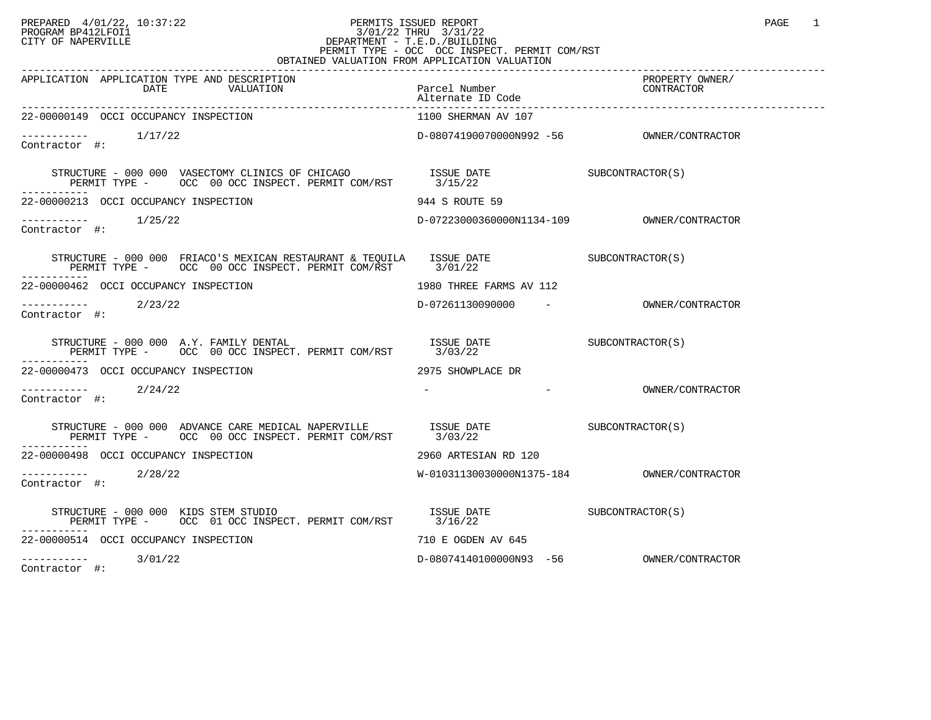## PREPARED 4/01/22, 10:37:22 PERMITS ISSUED REPORT<br>PROGRAM BP412LFOI1 PAGE 1 PROGRAM BP412LFOI1 3/01/22 THRU 3/31/22 CITY OF NAPERVILLE **Example 20** CITY OF NAPERVILLE PERMIT TYPE - OCC OCC INSPECT. PERMIT COM/RST OBTAINED VALUATION FROM APPLICATION VALUATION

| APPLICATION APPLICATION TYPE AND DESCRIPTION<br>DATE<br>VALUATION                                                                                                                                                                                                                                                          | Parcel Number<br>Alternate ID Code  | PROPERTY OWNER/<br>CONTRACTOR                         |
|----------------------------------------------------------------------------------------------------------------------------------------------------------------------------------------------------------------------------------------------------------------------------------------------------------------------------|-------------------------------------|-------------------------------------------------------|
| 22-00000149 OCCI OCCUPANCY INSPECTION                                                                                                                                                                                                                                                                                      | 1100 SHERMAN AV 107                 |                                                       |
| $--------$ 1/17/22<br>Contractor #:                                                                                                                                                                                                                                                                                        |                                     |                                                       |
|                                                                                                                                                                                                                                                                                                                            |                                     |                                                       |
| 22-00000213 OCCI OCCUPANCY INSPECTION                                                                                                                                                                                                                                                                                      | 944 S ROUTE 59                      |                                                       |
| $\begin{tabular}{ll} --------& & 1/25/22 \\ \textbf{Contractor} & \#: & \end{tabular}$                                                                                                                                                                                                                                     |                                     |                                                       |
| STRUCTURE - 000 000 FRIACO'S MEXICAN RESTAURANT & TEQUILA ISSUE DATE SUBCONTRACTOR(S)<br>PERMIT TYPE - OCC 00 OCC INSPECT. PERMIT COM/RST 3/01/22                                                                                                                                                                          |                                     |                                                       |
| 22-00000462 OCCI OCCUPANCY INSPECTION                                                                                                                                                                                                                                                                                      | 1980 THREE FARMS AV 112             |                                                       |
| $--------$ 2/23/22<br>Contractor #:                                                                                                                                                                                                                                                                                        | D-07261130090000 - OWNER/CONTRACTOR |                                                       |
| STRUCTURE - 000 000 A.Y. FAMILY DENTAL                                                                                                                                                                                                                                                                                     |                                     |                                                       |
| 22-00000473 OCCI OCCUPANCY INSPECTION                                                                                                                                                                                                                                                                                      | 2975 SHOWPLACE DR                   |                                                       |
| $--------$ 2/24/22<br>Contractor #:                                                                                                                                                                                                                                                                                        |                                     | the company's company's company's<br>OWNER/CONTRACTOR |
| $\begin{tabular}{lllllllll} \multicolumn{2}{c}{STRUTURE} & 000 & 000 & \multicolumn{2}{c}{ADVANCE} CARE MEDICAL NAPERVILLE & & & ISSUE DATE & & & SUBCONTRACTOR(S) \\ \multicolumn{2}{c}{PERMIT} TYPE & - & \multicolumn{2}{c}{OCC} & 00 & \multicolumn{2}{c}{OCC} & INSPECT. PERMIT COM/RST & & 3/03/22 \\ \end{tabular}$ |                                     |                                                       |
| 22-00000498 OCCI OCCUPANCY INSPECTION                                                                                                                                                                                                                                                                                      | 2960 ARTESIAN RD 120                |                                                       |
| ----------<br>ontractor #: 2/28/22<br>Contractor #:                                                                                                                                                                                                                                                                        |                                     |                                                       |
| $STRUCTURE$ - 000 000 KIDS STEM STUDIO<br>PERMIT TYPE - OCC 01 OCC INSPECT. PERMIT COM/RST 3/16/22                                                                                                                                                                                                                         | ISSUE DATE SUBCONTRACTOR(S)         |                                                       |
| 22-00000514 OCCI OCCUPANCY INSPECTION                                                                                                                                                                                                                                                                                      | 710 E OGDEN AV 645                  |                                                       |
| $--------- 3/01/22$                                                                                                                                                                                                                                                                                                        |                                     |                                                       |

Contractor #: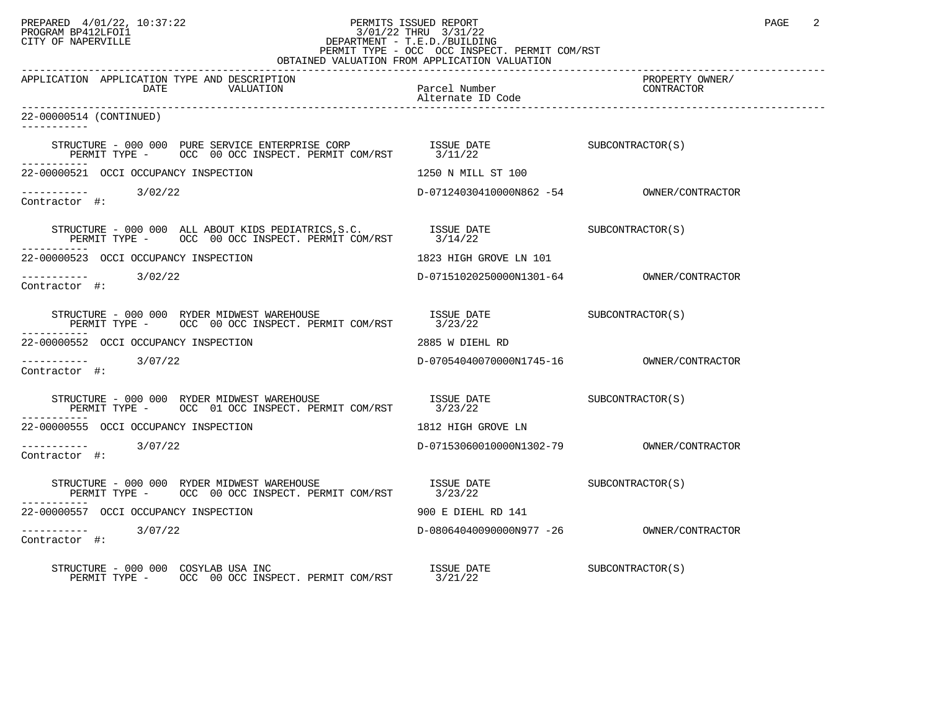## PREPARED 4/01/22, 10:37:22 PERMITS ISSUED REPORT PAGE 2<br>PROGRAM BP412LFOI1 PROGRAM PROGRAM BP412LFOI1 PROGRAM BP412LFOI1 3/01/22 THRU 3/31/22 CITY OF NAPERVILLE **Example 20** CITY OF NAPERVILLE PERMIT TYPE - OCC OCC INSPECT. PERMIT COM/RST

| OBTAINED VALUATION FROM APPLICATION VALUATION                                                                                                                                                                                                                                                                       |                                    |                               |  |  |
|---------------------------------------------------------------------------------------------------------------------------------------------------------------------------------------------------------------------------------------------------------------------------------------------------------------------|------------------------------------|-------------------------------|--|--|
| APPLICATION APPLICATION TYPE AND DESCRIPTION<br>DATE<br>VALUATION                                                                                                                                                                                                                                                   | Parcel Number<br>Alternate ID Code | PROPERTY OWNER/<br>CONTRACTOR |  |  |
| 22-00000514 (CONTINUED)<br>-----------                                                                                                                                                                                                                                                                              |                                    |                               |  |  |
|                                                                                                                                                                                                                                                                                                                     |                                    |                               |  |  |
| 22-00000521 OCCI OCCUPANCY INSPECTION                                                                                                                                                                                                                                                                               | 1250 N MILL ST 100                 |                               |  |  |
| $\frac{1}{2}$ -----------<br>Contractor #: 3/02/22                                                                                                                                                                                                                                                                  |                                    |                               |  |  |
|                                                                                                                                                                                                                                                                                                                     |                                    |                               |  |  |
| 22-00000523 OCCI OCCUPANCY INSPECTION                                                                                                                                                                                                                                                                               | 1823 HIGH GROVE LN 101             |                               |  |  |
| Contractor #:                                                                                                                                                                                                                                                                                                       |                                    |                               |  |  |
| $\begin{tabular}{lllllll} \texttt{STRUCTURE} & 000 & 000 & \texttt{RYDER MIDWEST WAREHOUSE} & \texttt{ISSUE} & \texttt{DATE} & \texttt{SUBCONTRACTOR(S)} \\ \texttt{PERMIT TYPE} & $\texttt{OCC} $ & 00$ & \texttt{OCC} $ & \texttt{INSERT}$. & \texttt{PERMIT} $ & \texttt{COM/RST} $ & 3/23/22$ \\ \end{tabular}$ |                                    |                               |  |  |
| 22-00000552 OCCI OCCUPANCY INSPECTION                                                                                                                                                                                                                                                                               | 2885 W DIEHL RD                    |                               |  |  |
| $--------$ 3/07/22<br>Contractor #:                                                                                                                                                                                                                                                                                 |                                    |                               |  |  |
|                                                                                                                                                                                                                                                                                                                     |                                    |                               |  |  |
| 22-00000555 OCCI OCCUPANCY INSPECTION                                                                                                                                                                                                                                                                               | 1812 HIGH GROVE LN                 |                               |  |  |
| $--------$ 3/07/22<br>Contractor #:                                                                                                                                                                                                                                                                                 |                                    |                               |  |  |
| STRUCTURE – 000 000 RYDER MIDWEST WAREHOUSE $$$ ISSUE DATE $$$ SUBCONTRACTOR(S) $$$ PERMIT TYPE – $$$ OCC 00 OCC INSPECT. PERMIT COM/RST $$3/23/22$                                                                                                                                                                 |                                    |                               |  |  |
| 22-00000557 OCCI OCCUPANCY INSPECTION                                                                                                                                                                                                                                                                               | 900 E DIEHL RD 141                 |                               |  |  |
| ----------- 3/07/22<br>Contractor #:                                                                                                                                                                                                                                                                                |                                    |                               |  |  |
| STRUCTURE - 000 000 COSYLAB USA INC<br>PERMIT TYPE - OCC 00 OCC INSPECT. PERMIT COM/RST 3/21/22                                                                                                                                                                                                                     | ISSUE DATE                         | SUBCONTRACTOR(S)              |  |  |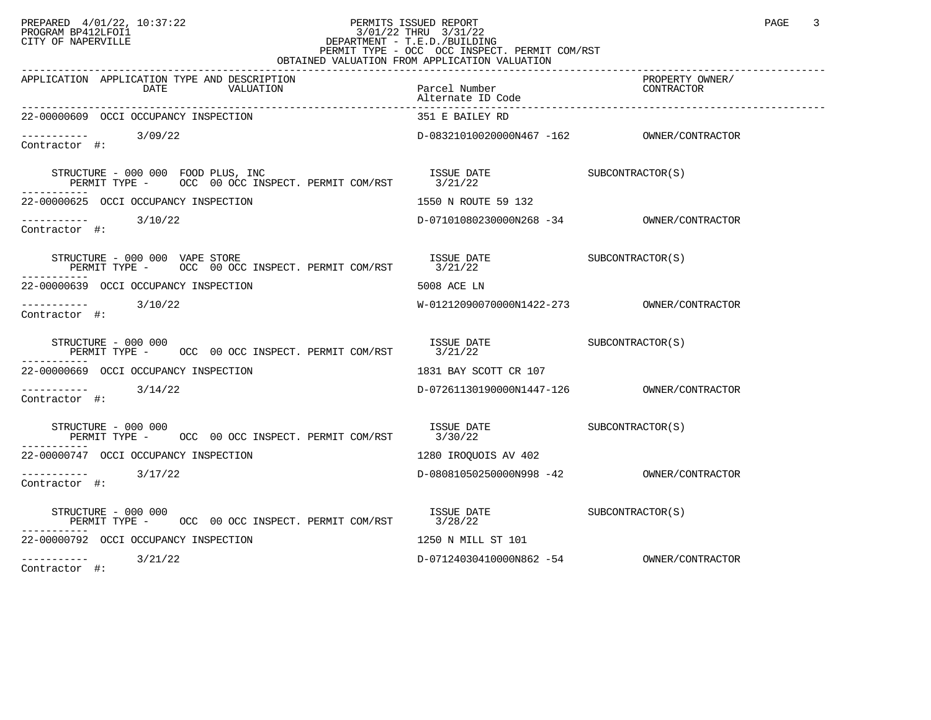## PREPARED 4/01/22, 10:37:22 PERMITS ISSUED REPORT<br>PROGRAM BP412LFOI1 10:37:22 PHRU 3/01/22 THRU 3/31/22<br>CITY OF NAPERVILLE PROGRAM BP412LFOI1 3/01/22 THRU 3/31/22 CITY OF NAPERVILLE **Example 20** CITY OF NAPERVILLE PERMIT TYPE - OCC OCC INSPECT. PERMIT COM/RST

| OBTAINED VALUATION FROM APPLICATION VALUATION                                                                                                                                                                                                                                                                                                     |                                                                                                                                                          |                 |  |  |
|---------------------------------------------------------------------------------------------------------------------------------------------------------------------------------------------------------------------------------------------------------------------------------------------------------------------------------------------------|----------------------------------------------------------------------------------------------------------------------------------------------------------|-----------------|--|--|
| APPLICATION APPLICATION TYPE AND DESCRIPTION                                                                                                                                                                                                                                                                                                      |                                                                                                                                                          | PROPERTY OWNER/ |  |  |
| 22-00000609 OCCI OCCUPANCY INSPECTION                                                                                                                                                                                                                                                                                                             | 351 E BAILEY RD                                                                                                                                          |                 |  |  |
| $--------$ 3/09/22<br>Contractor #:                                                                                                                                                                                                                                                                                                               |                                                                                                                                                          |                 |  |  |
| $\begin{tabular}{lllllllll} \multicolumn{2}{c}{STRUCTURE} & 000 & 000 & \text{FOOD} \text{ PLUS,} & \text{INC} & \text{ISSUE} \text{ DATE} & \text{SUE} & \text{SUBCONTRACTOR(S)} \\ \multicolumn{2}{c}{\text{PERMIT} \text{ TYPE}} & - & \text{OCC} & 00 \text{ OCC} \text{ INSPECT.} \text{ PERMIT} & \text{COM/RST} & 3/21/22 & \end{tabular}$ |                                                                                                                                                          |                 |  |  |
| 22-00000625 OCCI OCCUPANCY INSPECTION                                                                                                                                                                                                                                                                                                             | 1550 N ROUTE 59 132                                                                                                                                      |                 |  |  |
| $\frac{1}{2}$ $\frac{1}{2}$ $\frac{1}{2}$ $\frac{1}{2}$ $\frac{1}{2}$ $\frac{1}{2}$ $\frac{1}{2}$ $\frac{1}{2}$ $\frac{1}{2}$ $\frac{1}{2}$ $\frac{1}{2}$ $\frac{1}{2}$ $\frac{1}{2}$ $\frac{1}{2}$ $\frac{1}{2}$ $\frac{1}{2}$ $\frac{1}{2}$ $\frac{1}{2}$ $\frac{1}{2}$ $\frac{1}{2}$ $\frac{1}{2}$ $\frac{1}{2}$<br>Contractor #:              | D-07101080230000N268 -34 OWNER/CONTRACTOR                                                                                                                |                 |  |  |
| STRUCTURE - 000 000 VAPE STORE<br>PERMIT TYPE - OCC 00 OCC INSPECT. PERMIT COM/RST 3/21/22                                                                                                                                                                                                                                                        | ISSUE DATE SUBCONTRACTOR(S)                                                                                                                              |                 |  |  |
| 22-00000639 OCCI OCCUPANCY INSPECTION                                                                                                                                                                                                                                                                                                             | 5008 ACE LN                                                                                                                                              |                 |  |  |
| $--------$ 3/10/22<br>Contractor #:                                                                                                                                                                                                                                                                                                               |                                                                                                                                                          |                 |  |  |
| STRUCTURE - 000 000<br>PERMIT TYPE -     OCC 00 OCC INSPECT. PERMIT COM/RST     3/21/22                                                                                                                                                                                                                                                           | $\begin{array}{ll}\n\text{ISSUE} & \text{DATE} \\ \text{2.121.122}\n\end{array} \n\qquad \qquad \begin{array}{ll}\n\text{SUBCONTRACTOR(S)}\n\end{array}$ |                 |  |  |
| 22-00000669 OCCI OCCUPANCY INSPECTION                                                                                                                                                                                                                                                                                                             | 1831 BAY SCOTT CR 107                                                                                                                                    |                 |  |  |
| ----------- 3/14/22<br>Contractor #:                                                                                                                                                                                                                                                                                                              |                                                                                                                                                          |                 |  |  |
|                                                                                                                                                                                                                                                                                                                                                   |                                                                                                                                                          |                 |  |  |
| 22-00000747 OCCI OCCUPANCY INSPECTION                                                                                                                                                                                                                                                                                                             | 1280 IROOUOIS AV 402                                                                                                                                     |                 |  |  |
| $--------$ 3/17/22<br>Contractor #:                                                                                                                                                                                                                                                                                                               |                                                                                                                                                          |                 |  |  |
| STRUCTURE - 000 000<br>PERMIT TYPE - OCC 00 OCC INSPECT. PERMIT COM/RST 3/28/22                                                                                                                                                                                                                                                                   | ISSUE DATE SUBCONTRACTOR(S)                                                                                                                              |                 |  |  |
| 22-00000792 OCCI OCCUPANCY INSPECTION                                                                                                                                                                                                                                                                                                             | 1250 N MILL ST 101                                                                                                                                       |                 |  |  |
| $---------$ 3/21/22                                                                                                                                                                                                                                                                                                                               | D-07124030410000N862 -54 OWNER/CONTRACTOR                                                                                                                |                 |  |  |

Contractor #: